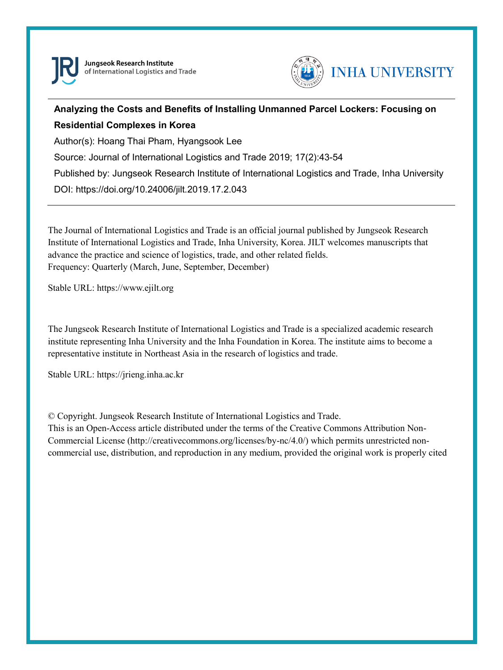

Jungseok Research Institute of International Logistics and Trade



# **Analyzing the Costs and Benefits of Installing Unmanned Parcel Lockers: Focusing on Residential Complexes in Korea**

Author(s): Hoang Thai Pham, Hyangsook Lee

Source: Journal of International Logistics and Trade 2019; 17(2):43-54

Published by: Jungseok Research Institute of International Logistics and Trade, Inha University

DOI: https://doi.org/10.24006/jilt.2019.17.2.043

The Journal of International Logistics and Trade is an official journal published by Jungseok Research Institute of International Logistics and Trade, Inha University, Korea. JILT welcomes manuscripts that advance the practice and science of logistics, trade, and other related fields. Frequency: Quarterly (March, June, September, December)

Stable URL: https://www.ejilt.org

The Jungseok Research Institute of International Logistics and Trade is a specialized academic research institute representing Inha University and the Inha Foundation in Korea. The institute aims to become a representative institute in Northeast Asia in the research of logistics and trade.

Stable URL: https://jrieng.inha.ac.kr

© Copyright. Jungseok Research Institute of International Logistics and Trade.

This is an Open-Access article distributed under the terms of the Creative Commons Attribution Non-Commercial License (http://creativecommons.org/licenses/by-nc/4.0/) which permits unrestricted noncommercial use, distribution, and reproduction in any medium, provided the original work is properly cited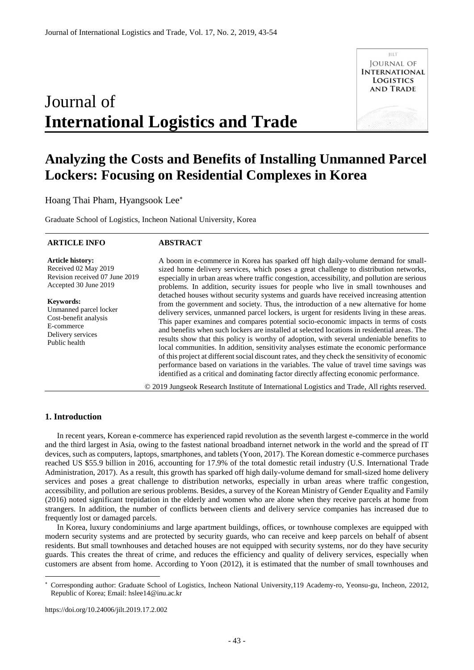# Journal of **International Logistics and Trade**



# **Analyzing the Costs and Benefits of Installing Unmanned Parcel Lockers: Focusing on Residential Complexes in Korea**

Hoang Thai Pham, Hyangsook Lee

Graduate School of Logistics, Incheon National University, Korea

#### **ARTICLE INFO**

# **ABSTRACT**

**Article history:**  Received 02 May 2019 Revision received 07 June 2019 Accepted 30 June 2019

**Keywords:**  Unmanned parcel locker Cost-benefit analysis E-commerce Delivery services Public health

A boom in e-commerce in Korea has sparked off high daily-volume demand for smallsized home delivery services, which poses a great challenge to distribution networks, especially in urban areas where traffic congestion, accessibility, and pollution are serious problems. In addition, security issues for people who live in small townhouses and detached houses without security systems and guards have received increasing attention from the government and society. Thus, the introduction of a new alternative for home delivery services, unmanned parcel lockers, is urgent for residents living in these areas. This paper examines and compares potential socio-economic impacts in terms of costs and benefits when such lockers are installed at selected locations in residential areas. The results show that this policy is worthy of adoption, with several undeniable benefits to local communities. In addition, sensitivity analyses estimate the economic performance of this project at different social discount rates, and they check the sensitivity of economic performance based on variations in the variables. The value of travel time savings was identified as a critical and dominating factor directly affecting economic performance.

© 2019 Jungseok Research Institute of International Logistics and Trade, All rights reserved.

# **1. Introduction**

-

In recent years, Korean e-commerce has experienced rapid revolution as the seventh largest e-commerce in the world and the third largest in Asia, owing to the fastest national broadband internet network in the world and the spread of IT devices, such as computers, laptops, smartphones, and tablets (Yoon, 2017). The Korean domestic e-commerce purchases reached US \$55.9 billion in 2016, accounting for 17.9% of the total domestic retail industry (U.S. International Trade Administration, 2017). As a result, this growth has sparked off high daily-volume demand for small-sized home delivery services and poses a great challenge to distribution networks, especially in urban areas where traffic congestion, accessibility, and pollution are serious problems. Besides, a survey of the Korean Ministry of Gender Equality and Family (2016) noted significant trepidation in the elderly and women who are alone when they receive parcels at home from strangers. In addition, the number of conflicts between clients and delivery service companies has increased due to frequently lost or damaged parcels.

In Korea, luxury condominiums and large apartment buildings, offices, or townhouse complexes are equipped with modern security systems and are protected by security guards, who can receive and keep parcels on behalf of absent residents. But small townhouses and detached houses are not equipped with security systems, nor do they have security guards. This creates the threat of crime, and reduces the efficiency and quality of delivery services, especially when customers are absent from home. According to Yoon (2012), it is estimated that the number of small townhouses and

https://doi.org/10.24006/jilt.2019.17.2.002

Corresponding author: Graduate School of Logistics, Incheon National University,119 Academy-ro, Yeonsu-gu, Incheon, 22012, Republic of Korea; Email: hslee14@inu.ac.kr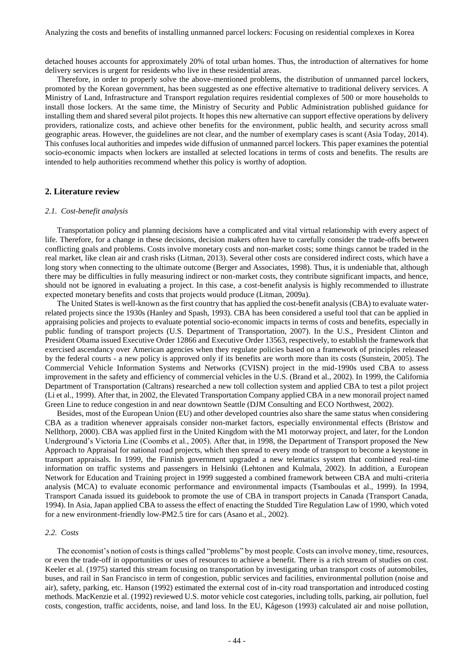detached houses accounts for approximately 20% of total urban homes. Thus, the introduction of alternatives for home delivery services is urgent for residents who live in these residential areas.

Therefore, in order to properly solve the above-mentioned problems, the distribution of unmanned parcel lockers, promoted by the Korean government, has been suggested as one effective alternative to traditional delivery services. A Ministry of Land, Infrastructure and Transport regulation requires residential complexes of 500 or more households to install those lockers. At the same time, the Ministry of Security and Public Administration published guidance for installing them and shared several pilot projects. It hopes this new alternative can support effective operations by delivery providers, rationalize costs, and achieve other benefits for the environment, public health, and security across small geographic areas. However, the guidelines are not clear, and the number of exemplary cases is scant (Asia Today, 2014). This confuses local authorities and impedes wide diffusion of unmanned parcel lockers. This paper examines the potential socio-economic impacts when lockers are installed at selected locations in terms of costs and benefits. The results are intended to help authorities recommend whether this policy is worthy of adoption.

#### **2. Literature review**

#### *2.1. Cost-benefit analysis*

Transportation policy and planning decisions have a complicated and vital virtual relationship with every aspect of life. Therefore, for a change in these decisions, decision makers often have to carefully consider the trade-offs between conflicting goals and problems. Costs involve monetary costs and non-market costs; some things cannot be traded in the real market, like clean air and crash risks (Litman, 2013). Several other costs are considered indirect costs, which have a long story when connecting to the ultimate outcome (Berger and Associates, 1998). Thus, it is undeniable that, although there may be difficulties in fully measuring indirect or non-market costs, they contribute significant impacts, and hence, should not be ignored in evaluating a project. In this case, a cost-benefit analysis is highly recommended to illustrate expected monetary benefits and costs that projects would produce (Litman, 2009a).

The United States is well-known as the first country that has applied the cost-benefit analysis (CBA) to evaluate waterrelated projects since the 1930s (Hanley and Spash, 1993). CBA has been considered a useful tool that can be applied in appraising policies and projects to evaluate potential socio-economic impacts in terms of costs and benefits, especially in public funding of transport projects (U.S. Department of Transportation, 2007). In the U.S., President Clinton and President Obama issued Executive Order 12866 and Executive Order 13563, respectively, to establish the framework that exercised ascendancy over American agencies when they regulate policies based on a framework of principles released by the federal courts - a new policy is approved only if its benefits are worth more than its costs (Sunstein, 2005). The Commercial Vehicle Information Systems and Networks (CVISN) project in the mid-1990s used CBA to assess improvement in the safety and efficiency of commercial vehicles in the U.S. (Brand et al., 2002). In 1999, the California Department of Transportation (Caltrans) researched a new toll collection system and applied CBA to test a pilot project (Li et al., 1999). After that, in 2002, the Elevated Transportation Company applied CBA in a new monorail project named Green Line to reduce congestion in and near downtown Seattle (DJM Consulting and ECO Northwest, 2002).

Besides, most of the European Union (EU) and other developed countries also share the same status when considering CBA as a tradition whenever appraisals consider non-market factors, especially environmental effects (Bristow and Nellthorp, 2000). CBA was applied first in the United Kingdom with the M1 motorway project, and later, for the London Underground's Victoria Line (Coombs et al., 2005). After that, in 1998, the Department of Transport proposed the New Approach to Appraisal for national road projects, which then spread to every mode of transport to become a keystone in transport appraisals. In 1999, the Finnish government upgraded a new telematics system that combined real-time information on traffic systems and passengers in Helsinki (Lehtonen and Kulmala, 2002). In addition, a European Network for Education and Training project in 1999 suggested a combined framework between CBA and multi-criteria analysis (MCA) to evaluate economic performance and environmental impacts (Tsamboulas et al., 1999). In 1994, Transport Canada issued its guidebook to promote the use of CBA in transport projects in Canada (Transport Canada, 1994). In Asia, Japan applied CBA to assess the effect of enacting the Studded Tire Regulation Law of 1990, which voted for a new environment-friendly low-PM2.5 tire for cars (Asano et al., 2002).

#### *2.2. Costs*

The economist's notion of costs is things called "problems" by most people. Costs can involve money, time, resources, or even the trade-off in opportunities or uses of resources to achieve a benefit. There is a rich stream of studies on cost. Keeler et al. (1975) started this stream focusing on transportation by investigating urban transport costs of automobiles, buses, and rail in San Francisco in term of congestion, public services and facilities, environmental pollution (noise and air), safety, parking, etc. Hanson (1992) estimated the external cost of in-city road transportation and introduced costing methods. MacKenzie et al. (1992) reviewed U.S. motor vehicle cost categories, including tolls, parking, air pollution, fuel costs, congestion, traffic accidents, noise, and land loss. In the EU, Kågeson (1993) calculated air and noise pollution,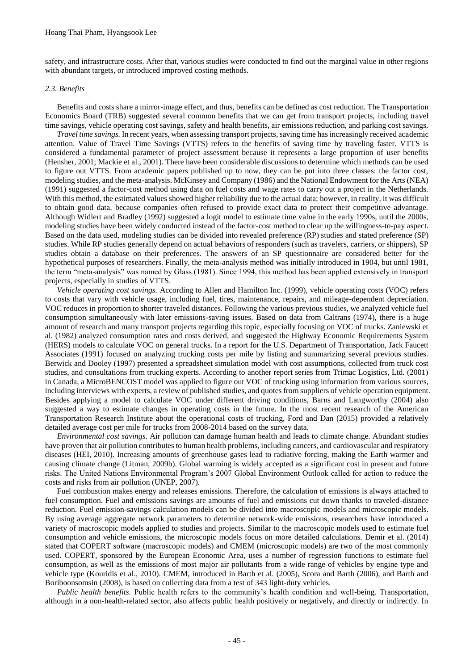safety, and infrastructure costs. After that, various studies were conducted to find out the marginal value in other regions with abundant targets, or introduced improved costing methods.

#### *2.3. Benefits*

Benefits and costs share a mirror-image effect, and thus, benefits can be defined as cost reduction. The Transportation Economics Board (TRB) suggested several common benefits that we can get from transport projects, including travel time savings, vehicle operating cost savings, safety and health benefits, air emissions reduction, and parking cost savings.

*Travel time savings.* In recent years, when assessing transport projects, saving time has increasingly received academic attention. Value of Travel Time Savings (VTTS) refers to the benefits of saving time by traveling faster. VTTS is considered a fundamental parameter of project assessment because it represents a large proportion of user benefits (Hensher, 2001; Mackie et al., 2001). There have been considerable discussions to determine which methods can be used to figure out VTTS. From academic papers published up to now, they can be put into three classes: the factor cost, modeling studies, and the meta-analysis. McKinsey and Company (1986) and the National Endowment for the Arts (NEA) (1991) suggested a factor-cost method using data on fuel costs and wage rates to carry out a project in the Netherlands. With this method, the estimated values showed higher reliability due to the actual data; however, in reality, it was difficult to obtain good data, because companies often refused to provide exact data to protect their competitive advantage. Although Widlert and Bradley (1992) suggested a logit model to estimate time value in the early 1990s, until the 2000s, modeling studies have been widely conducted instead of the factor-cost method to clear up the willingness-to-pay aspect. Based on the data used, modeling studies can be divided into revealed preference (RP) studies and stated preference (SP) studies. While RP studies generally depend on actual behaviors of responders (such as travelers, carriers, or shippers), SP studies obtain a database on their preferences. The answers of an SP questionnaire are considered better for the hypothetical purposes of researchers. Finally, the meta-analysis method was initially introduced in 1904, but until 1981, the term "meta-analysis" was named by Glass (1981). Since 1994, this method has been applied extensively in transport projects, especially in studies of VTTS.

*Vehicle operating cost savings.* According to Allen and Hamilton Inc. (1999), vehicle operating costs (VOC) refers to costs that vary with vehicle usage, including fuel, tires, maintenance, repairs, and mileage-dependent depreciation. VOC reduces in proportion to shorter traveled distances. Following the various previous studies, we analyzed vehicle fuel consumption simultaneously with later emissions-saving issues. Based on data from Caltrans (1974), there is a huge amount of research and many transport projects regarding this topic, especially focusing on VOC of trucks. Zaniewski et al. (1982) analyzed consumption rates and costs derived, and suggested the Highway Economic Requirements System (HERS) models to calculate VOC on general trucks. In a report for the U.S. Department of Transportation, Jack Faucett Associates (1991) focused on analyzing trucking costs per mile by listing and summarizing several previous studies. Berwick and Dooley (1997) presented a spreadsheet simulation model with cost assumptions, collected from truck cost studies, and consultations from trucking experts. According to another report series from Trimac Logistics, Ltd. (2001) in Canada, a MicroBENCOST model was applied to figure out VOC of trucking using information from various sources, including interviews with experts, a review of published studies, and quotes from suppliers of vehicle operation equipment. Besides applying a model to calculate VOC under different driving conditions, Barns and Langworthy (2004) also suggested a way to estimate changes in operating costs in the future. In the most recent research of the American Transportation Research Institute about the operational costs of trucking, Ford and Dan (2015) provided a relatively detailed average cost per mile for trucks from 2008-2014 based on the survey data.

*Environmental cost savings*. Air pollution can damage human health and leads to climate change. Abundant studies have proven that air pollution contributes to human health problems, including cancers, and cardiovascular and respiratory diseases (HEI, 2010). Increasing amounts of greenhouse gases lead to radiative forcing, making the Earth warmer and causing climate change (Litman, 2009b). Global warming is widely accepted as a significant cost in present and future risks. The United Nations Environmental Program's 2007 Global Environment Outlook called for action to reduce the costs and risks from air pollution (UNEP, 2007).

Fuel combustion makes energy and releases emissions. Therefore, the calculation of emissions is always attached to fuel consumption. Fuel and emissions savings are amounts of fuel and emissions cut down thanks to traveled-distance reduction. Fuel emission-savings calculation models can be divided into macroscopic models and microscopic models. By using average aggregate network parameters to determine network-wide emissions, researchers have introduced a variety of macroscopic models applied to studies and projects. Similar to the macroscopic models used to estimate fuel consumption and vehicle emissions, the microscopic models focus on more detailed calculations. Demir et al. (2014) stated that COPERT software (macroscopic models) and CMEM (microscopic models) are two of the most commonly used. COPERT, sponsored by the European Economic Area, uses a number of regression functions to estimate fuel consumption, as well as the emissions of most major air pollutants from a wide range of vehicles by engine type and vehicle type (Kouridis et al., 2010). CMEM, introduced in Barth et al. (2005), Scora and Barth (2006), and Barth and Boriboonsomsin (2008), is based on collecting data from a test of 343 light-duty vehicles.

*Public health benefits*. Public health refers to the community's health condition and well-being. Transportation, although in a non-health-related sector, also affects public health positively or negatively, and directly or indirectly. In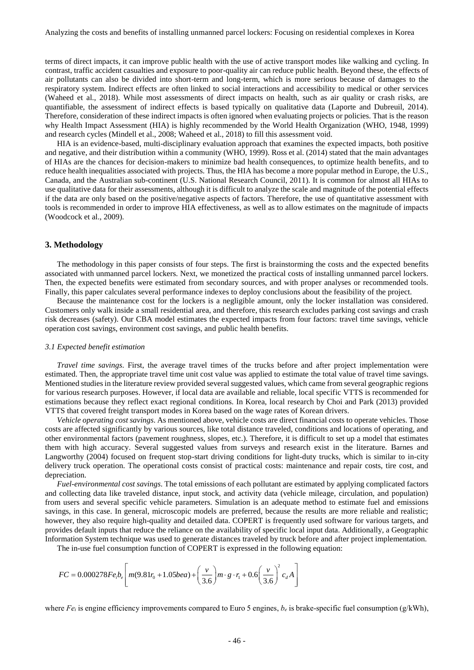terms of direct impacts, it can improve public health with the use of active transport modes like walking and cycling. In contrast, traffic accident casualties and exposure to poor-quality air can reduce public health. Beyond these, the effects of air pollutants can also be divided into short-term and long-term, which is more serious because of damages to the respiratory system. Indirect effects are often linked to social interactions and accessibility to medical or other services (Waheed et al., 2018). While most assessments of direct impacts on health, such as air quality or crash risks, are quantifiable, the assessment of indirect effects is based typically on qualitative data (Laporte and Dubreuil, 2014). Therefore, consideration of these indirect impacts is often ignored when evaluating projects or policies. That is the reason why Health Impact Assessment (HIA) is highly recommended by the World Health Organization (WHO, 1948, 1999) and research cycles (Mindell et al., 2008; Waheed et al., 2018) to fill this assessment void.

HIA is an evidence-based, multi-disciplinary evaluation approach that examines the expected impacts, both positive and negative, and their distribution within a community (WHO, 1999). Ross et al. (2014) stated that the main advantages of HIAs are the chances for decision-makers to minimize bad health consequences, to optimize health benefits, and to reduce health inequalities associated with projects. Thus, the HIA has become a more popular method in Europe, the U.S., Canada, and the Australian sub-continent (U.S. National Research Council, 2011). It is common for almost all HIAs to use qualitative data for their assessments, although it is difficult to analyze the scale and magnitude of the potential effects if the data are only based on the positive/negative aspects of factors. Therefore, the use of quantitative assessment with tools is recommended in order to improve HIA effectiveness, as well as to allow estimates on the magnitude of impacts (Woodcock et al., 2009).

## **3. Methodology**

The methodology in this paper consists of four steps. The first is brainstorming the costs and the expected benefits associated with unmanned parcel lockers. Next, we monetized the practical costs of installing unmanned parcel lockers. Then, the expected benefits were estimated from secondary sources, and with proper analyses or recommended tools. Finally, this paper calculates several performance indexes to deploy conclusions about the feasibility of the project.

Because the maintenance cost for the lockers is a negligible amount, only the locker installation was considered. Customers only walk inside a small residential area, and therefore, this research excludes parking cost savings and crash risk decreases (safety). Our CBA model estimates the expected impacts from four factors: travel time savings, vehicle operation cost savings, environment cost savings, and public health benefits.

#### *3.1 Expected benefit estimation*

*Travel time savings*. First, the average travel times of the trucks before and after project implementation were estimated. Then, the appropriate travel time unit cost value was applied to estimate the total value of travel time savings. Mentioned studies in the literature review provided several suggested values, which came from several geographic regions for various research purposes. However, if local data are available and reliable, local specific VTTS is recommended for estimations because they reflect exact regional conditions. In Korea, local research by Choi and Park (2013) provided VTTS that covered freight transport modes in Korea based on the wage rates of Korean drivers.

*Vehicle operating cost savings*. As mentioned above, vehicle costs are direct financial costs to operate vehicles. Those costs are affected significantly by various sources, like total distance traveled, conditions and locations of operating, and other environmental factors (pavement roughness, slopes, etc.). Therefore, it is difficult to set up a model that estimates them with high accuracy. Several suggested values from surveys and research exist in the literature. Barnes and Langworthy (2004) focused on frequent stop-start driving conditions for light-duty trucks, which is similar to in-city delivery truck operation. The operational costs consist of practical costs: maintenance and repair costs, tire cost, and depreciation.

*Fuel-environmental cost savings*. The total emissions of each pollutant are estimated by applying complicated factors and collecting data like traveled distance, input stock, and activity data (vehicle mileage, circulation, and population) from users and several specific vehicle parameters. Simulation is an adequate method to estimate fuel and emissions savings, in this case. In general, microscopic models are preferred, because the results are more reliable and realistic; however, they also require high-quality and detailed data. COPERT is frequently used software for various targets, and provides default inputs that reduce the reliance on the availability of specific local input data. Additionally, a Geographic Information System technique was used to generate distances traveled by truck before and after project implementation.

The in-use fuel consumption function of COPERT is expressed in the following equation:  
\n
$$
FC = 0.000278Fe_i b_e \left[ m(9.81r_0 + 1.05bea) + \left(\frac{v}{3.6}\right) m \cdot g \cdot r_1 + 0.6 \left(\frac{v}{3.6}\right)^2 c_d A \right]
$$

where  $Fe_i$  is engine efficiency improvements compared to Euro 5 engines,  $b_e$  is brake-specific fuel consumption (g/kWh),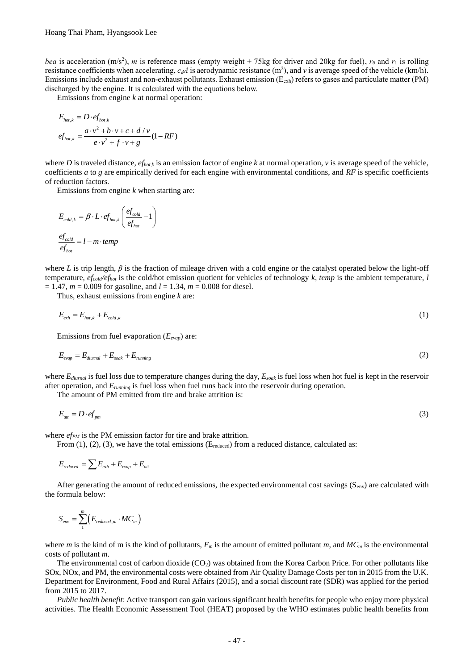*bea* is acceleration  $(m/s^2)$ , *m* is reference mass (empty weight + 75kg for driver and 20kg for fuel),  $r_0$  and  $r_1$  is rolling resistance coefficients when accelerating,  $c_dA$  is aerodynamic resistance  $(m^2)$ , and v is average speed of the vehicle (km/h). Emissions include exhaust and non-exhaust pollutants. Exhaust emission  $(E_{exh})$  refers to gases and particulate matter (PM) discharged by the engine. It is calculated with the equations below.

Emissions from engine *k* at normal operation:

$$
E_{hot,k} = D \cdot e f_{hot,k}
$$
  
\n
$$
ef_{hot,k} = \frac{a \cdot v^2 + b \cdot v + c + d / v}{e \cdot v^2 + f \cdot v + g} (1 - RF)
$$

where *D* is traveled distance,  $ef_{hot,k}$  is an emission factor of engine *k* at normal operation, *v* is average speed of the vehicle, coefficients *a* to *g* are empirically derived for each engine with environmental conditions, and *RF* is specific coefficients of reduction factors.

Emissions from engine *k* when starting are:

$$
E_{cold,k} = \beta \cdot L \cdot ef_{hot,k} \left(\frac{ef_{cold}}{ef_{hot}} - 1\right)
$$

$$
\frac{ef_{cold}}{ef_{hot}} = l - m \cdot temp
$$

where *L* is trip length, *β* is the fraction of mileage driven with a cold engine or the catalyst operated below the light-off temperature, *efcold/efhot* is the cold/hot emission quotient for vehicles of technology *k*, *temp* is the ambient temperature, *l*  $= 1.47$ ,  $m = 0.009$  for gasoline, and  $l = 1.34$ ,  $m = 0.008$  for diesel.

Thus, exhaust emissions from engine *k* are:

$$
E_{\text{exh}} = E_{\text{hot},k} + E_{\text{cold},k} \tag{1}
$$

Emissions from fuel evaporation (*Eevap*) are:

$$
E_{evap} = E_{diurnal} + E_{soak} + E_{running}
$$
 (2)

where *Ediurnal* is fuel loss due to temperature changes during the day, *Esoak* is fuel loss when hot fuel is kept in the reservoir after operation, and *Erunning* is fuel loss when fuel runs back into the reservoir during operation.

The amount of PM emitted from tire and brake attrition is:

$$
E_{\text{att}} = D \cdot e f_{\text{pm}} \tag{3}
$$

where *ef<sub>PM</sub>* is the PM emission factor for tire and brake attrition.

From  $(1)$ ,  $(2)$ ,  $(3)$ , we have the total emissions (E<sub>reduced</sub>) from a reduced distance, calculated as:

$$
E_{reduced} = \sum E_{exh} + E_{evap} + E_{att}
$$

After generating the amount of reduced emissions, the expected environmental cost savings  $(S_{env})$  are calculated with the formula below:

$$
S_{\text{env}} = \sum_1^m \Bigl(E_{\text{reduced},m} \cdot MC_m \Bigr)
$$

where *m* is the kind of m is the kind of pollutants,  $E_m$  is the amount of emitted pollutant *m*, and  $MC_m$  is the environmental costs of pollutant *m*.

The environmental cost of carbon dioxide  $(CO<sub>2</sub>)$  was obtained from the Korea Carbon Price. For other pollutants like SOx, NOx, and PM, the environmental costs were obtained from Air Quality Damage Costs per ton in 2015 from the U.K. Department for Environment, Food and Rural Affairs (2015), and a social discount rate (SDR) was applied for the period from 2015 to 2017.

*Public health benefit*: Active transport can gain various significant health benefits for people who enjoy more physical activities. The Health Economic Assessment Tool (HEAT) proposed by the WHO estimates public health benefits from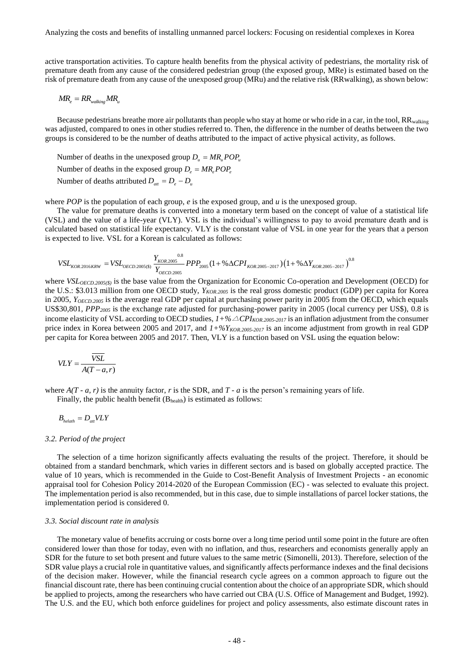active transportation activities. To capture health benefits from the physical activity of pedestrians, the mortality risk of premature death from any cause of the considered pedestrian group (the exposed group, MRe) is estimated based on the risk of premature death from any cause of the unexposed group (MRu) and the relative risk (RRwalking), as shown below:

$$
MR_e = RR_{\text{walling}} MR_u
$$

Because pedestrians breathe more air pollutants than people who stay at home or who ride in a car, in the tool, RR<sub>walking</sub> was adjusted, compared to ones in other studies referred to. Then, the difference in the number of deaths between the two groups is considered to be the number of deaths attributed to the impact of active physical activity, as follows.

Number of deaths in the unexposed group  $D_u = MR_u POP_u$ 

Number of deaths in the exposed group  $D_e = MR_e POP_e$ 

Number of deaths attributed  $D_{at} = D_e - D_u$ 

where *POP* is the population of each group, *e* is the exposed group, and *u* is the unexposed group.

The value for premature deaths is converted into a monetary term based on the concept of value of a statistical life (VSL) and the value of a life-year (VLY). VSL is the individual's willingness to pay to avoid premature death and is calculated based on statistical life expectancy. VLY is the constant value of VSL in one year for the years that a person

$$
VSL_{KOR, 2016KRW} = VSL_{OECD, 2005(S)} \frac{Y_{KOR, 2005}}{Y_{OECD, 2005}} PPP_{2005} (1 + %\Delta CPI_{KOR, 2005-2017}) (1 + %\Delta Y_{KOR, 2005-2017})^{0.8}
$$

where *VSL<sub>OECD.2005(\$)* is the base value from the Organization for Economic Co-operation and Development (OECD) for</sub> the U.S.: \$3.013 million from one OECD study, *YKOR.2005* is the real gross domestic product (GDP) per capita for Korea in 2005, *YOECD.2005* is the average real GDP per capital at purchasing power parity in 2005 from the OECD, which equals US\$30,801, *PPP<sup>2005</sup>* is the exchange rate adjusted for purchasing-power parity in 2005 (local currency per US\$), 0.8 is income elasticity of VSL according to OECD studies,  $1+\frac{6}{2}$ *CPI*<sub>*KOR.2005-2017* is an inflation adjustment from the consumer</sub> price index in Korea between 2005 and 2017, and *1+%YKOR.2005-2017* is an income adjustment from growth in real GDP per capita for Korea between 2005 and 2017. Then, VLY is a function based on VSL using the equation below:

$$
VLY = \frac{\overline{VSL}}{A(T-a,r)}
$$

where  $A(T - a, r)$  is the annuity factor, *r* is the SDR, and  $T - a$  is the person's remaining years of life. Finally, the public health benefit  $(B<sub>health</sub>)$  is estimated as follows:

 $B_{\text{helath}} = D_{\text{att}} V L Y$ 

# *3.2. Period of the project*

The selection of a time horizon significantly affects evaluating the results of the project. Therefore, it should be obtained from a standard benchmark, which varies in different sectors and is based on globally accepted practice. The value of 10 years, which is recommended in the Guide to Cost-Benefit Analysis of Investment Projects - an economic appraisal tool for Cohesion Policy 2014-2020 of the European Commission (EC) - was selected to evaluate this project. The implementation period is also recommended, but in this case, due to simple installations of parcel locker stations, the implementation period is considered 0.

## *3.3. Social discount rate in analysis*

The monetary value of benefits accruing or costs borne over a long time period until some point in the future are often considered lower than those for today, even with no inflation, and thus, researchers and economists generally apply an SDR for the future to set both present and future values to the same metric (Simonelli, 2013). Therefore, selection of the SDR value plays a crucial role in quantitative values, and significantly affects performance indexes and the final decisions of the decision maker. However, while the financial research cycle agrees on a common approach to figure out the financial discount rate, there has been continuing crucial contention about the choice of an appropriate SDR, which should be applied to projects, among the researchers who have carried out CBA (U.S. Office of Management and Budget, 1992). The U.S. and the EU, which both enforce guidelines for project and policy assessments, also estimate discount rates in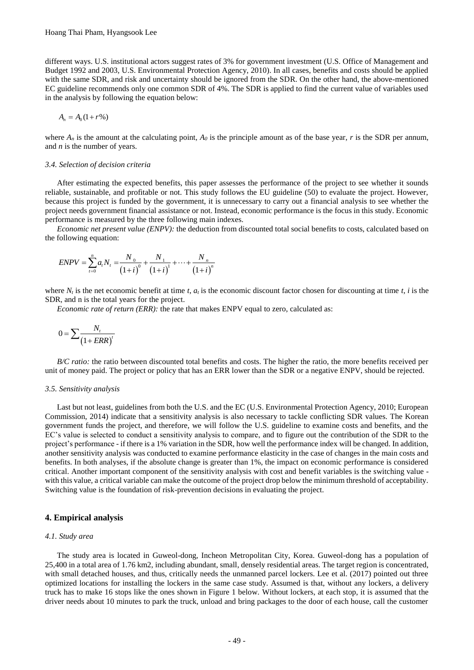different ways. U.S. institutional actors suggest rates of 3% for government investment (U.S. Office of Management and Budget 1992 and 2003, U.S. Environmental Protection Agency, 2010). In all cases, benefits and costs should be applied with the same SDR, and risk and uncertainty should be ignored from the SDR. On the other hand, the above-mentioned EC guideline recommends only one common SDR of 4%. The SDR is applied to find the current value of variables used in the analysis by following the equation below:

$$
A_n = A_0 (1 + r\%)
$$

where  $A_n$  is the amount at the calculating point,  $A_0$  is the principle amount as of the base year, *r* is the SDR per annum, and *n* is the number of years.

#### *3.4. Selection of decision criteria*

After estimating the expected benefits, this paper assesses the performance of the project to see whether it sounds reliable, sustainable, and profitable or not. This study follows the EU guideline (50) to evaluate the project. However, because this project is funded by the government, it is unnecessary to carry out a financial analysis to see whether the project needs government financial assistance or not. Instead, economic performance is the focus in this study. Economic performance is measured by the three following main indexes.

*Economic net present value (ENPV):* the deduction from discounted total social benefits to costs, calculated based on the following equation:

$$
ENPV = \sum_{i=0}^{n} a_i N_i = \frac{N_0}{(1+i)^0} + \frac{N_1}{(1+i)^1} + \dots + \frac{N_n}{(1+i)^n}
$$

where  $N_t$  is the net economic benefit at time  $t$ ,  $a_t$  is the economic discount factor chosen for discounting at time  $t$ , *i* is the SDR, and n is the total years for the project.

*Economic rate of return (ERR):* the rate that makes ENPV equal to zero, calculated as:

$$
0 = \sum \frac{N_t}{\left(1 + ERR\right)^t}
$$

*B/C ratio:* the ratio between discounted total benefits and costs. The higher the ratio, the more benefits received per unit of money paid. The project or policy that has an ERR lower than the SDR or a negative ENPV, should be rejected.

#### *3.5. Sensitivity analysis*

Last but not least, guidelines from both the U.S. and the EC (U.S. Environmental Protection Agency, 2010; European Commission, 2014) indicate that a sensitivity analysis is also necessary to tackle conflicting SDR values. The Korean government funds the project, and therefore, we will follow the U.S. guideline to examine costs and benefits, and the EC's value is selected to conduct a sensitivity analysis to compare, and to figure out the contribution of the SDR to the project's performance - if there is a 1% variation in the SDR, how well the performance index will be changed. In addition, another sensitivity analysis was conducted to examine performance elasticity in the case of changes in the main costs and benefits. In both analyses, if the absolute change is greater than 1%, the impact on economic performance is considered critical. Another important component of the sensitivity analysis with cost and benefit variables is the switching value with this value, a critical variable can make the outcome of the project drop below the minimum threshold of acceptability. Switching value is the foundation of risk-prevention decisions in evaluating the project.

# **4. Empirical analysis**

# *4.1. Study area*

The study area is located in Guweol-dong, Incheon Metropolitan City, Korea. Guweol-dong has a population of 25,400 in a total area of 1.76 km2, including abundant, small, densely residential areas. The target region is concentrated, with small detached houses, and thus, critically needs the unmanned parcel lockers. Lee et al. (2017) pointed out three optimized locations for installing the lockers in the same case study. Assumed is that, without any lockers, a delivery truck has to make 16 stops like the ones shown in Figure 1 below. Without lockers, at each stop, it is assumed that the driver needs about 10 minutes to park the truck, unload and bring packages to the door of each house, call the customer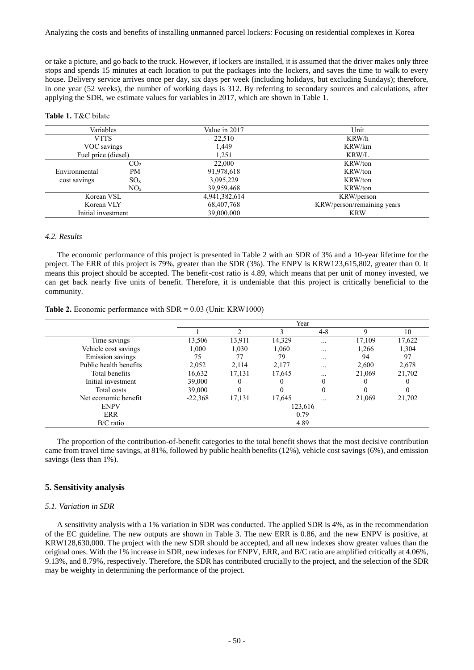or take a picture, and go back to the truck. However, if lockers are installed, it is assumed that the driver makes only three stops and spends 15 minutes at each location to put the packages into the lockers, and saves the time to walk to every house. Delivery service arrives once per day, six days per week (including holidays, but excluding Sundays); therefore, in one year (52 weeks), the number of working days is 312. By referring to secondary sources and calculations, after applying the SDR, we estimate values for variables in 2017, which are shown in Table 1.

### **Table 1.** T&C bilate

| 'ariables          |     | Value in 2017 | Jnit                       |
|--------------------|-----|---------------|----------------------------|
| VTTS               |     | 22.510        | $K$ RW/h                   |
| VOC savings        |     | .449          | KRW/km                     |
| price (diesel)     |     |               | $K$ RW/L                   |
|                    | CO2 | .000          | KRW/ton                    |
| Environmental      | PМ  |               | KRW/ton                    |
| cost savings       |     |               | KRW/ton                    |
|                    |     | 39,959,468    | $N/t_0r$                   |
| Korean VSL         |     |               | KRW/person                 |
| Korean VLY         |     | 768           | KRW/person/remaining years |
| Initial investment |     |               | <b>KRW</b>                 |

#### *4.2. Results*

The economic performance of this project is presented in Table 2 with an SDR of 3% and a 10-year lifetime for the project. The ERR of this project is 79%, greater than the SDR (3%). The ENPV is KRW123,615,802, greater than 0. It means this project should be accepted. The benefit-cost ratio is 4.89, which means that per unit of money invested, we can get back nearly five units of benefit. Therefore, it is undeniable that this project is critically beneficial to the community.

| Table 2. Economic performance with $SDR = 0.03$ (Unit: KRW1000) |  |  |  |  |
|-----------------------------------------------------------------|--|--|--|--|
|-----------------------------------------------------------------|--|--|--|--|

|                        | Year      |        |          |          |        |        |
|------------------------|-----------|--------|----------|----------|--------|--------|
|                        |           |        |          | $4 - 8$  | Q      | 10     |
| Time savings           | 13,506    | 13,911 | 14,329   | $\cdots$ | 17,109 | 17,622 |
| Vehicle cost savings   | 1.000     | 1.030  | 1,060    | $\cdots$ | 1,266  | 1,304  |
| Emission savings       | 75        | 77     | 79       | $\cdots$ | 94     | 97     |
| Public health benefits | 2,052     | 2,114  | 2,177    | $\cdots$ | 2,600  | 2,678  |
| Total benefits         | 16,632    | 17,131 | 17,645   | $\cdots$ | 21,069 | 21,702 |
| Initial investment     | 39,000    |        | U        | 0        | 0      |        |
| Total costs            | 39,000    | 0      | $\Omega$ | 0        | 0      |        |
| Net economic benefit   | $-22,368$ | 17,131 | 17,645   |          | 21,069 | 21,702 |
| <b>ENPV</b>            |           |        | 123,616  |          |        |        |
| ERR                    | 0.79      |        |          |          |        |        |
| $B/C$ ratio            |           |        | 4.89     |          |        |        |

The proportion of the contribution-of-benefit categories to the total benefit shows that the most decisive contribution came from travel time savings, at 81%, followed by public health benefits (12%), vehicle cost savings (6%), and emission savings (less than 1%).

# **5. Sensitivity analysis**

# *5.1. Variation in SDR*

A sensitivity analysis with a 1% variation in SDR was conducted. The applied SDR is 4%, as in the recommendation of the EC guideline. The new outputs are shown in Table 3. The new ERR is 0.86, and the new ENPV is positive, at KRW128,630,000. The project with the new SDR should be accepted, and all new indexes show greater values than the original ones. With the 1% increase in SDR, new indexes for ENPV, ERR, and B/C ratio are amplified critically at 4.06%, 9.13%, and 8.79%, respectively. Therefore, the SDR has contributed crucially to the project, and the selection of the SDR may be weighty in determining the performance of the project.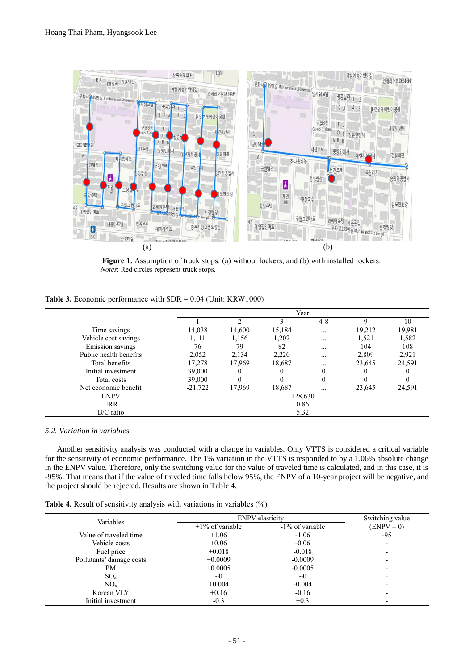

**Figure 1.** Assumption of truck stops: (a) without lockers, and (b) with installed lockers. *Notes*: Red circles represent truck stops.

# **Table 3.** Economic performance with SDR = 0.04 (Unit: KRW1000)

|                        | Year      |        |         |          |        |        |
|------------------------|-----------|--------|---------|----------|--------|--------|
|                        |           |        |         | $4 - 8$  | q      | 10     |
| Time savings           | 14,038    | 14,600 | 15,184  | $\cdots$ | 19,212 | 19,981 |
| Vehicle cost savings   | 1,111     | 1,156  | 1,202   | $\cdots$ | 1,521  | 1,582  |
| Emission savings       | 76        | 79     | 82      |          | 104    | 108    |
| Public health benefits | 2,052     | 2,134  | 2,220   | $\cdots$ | 2,809  | 2,921  |
| Total benefits         | 17,278    | 17,969 | 18,687  | $\cdots$ | 23,645 | 24,591 |
| Initial investment     | 39,000    | 0      | 0       | 0        | 0      |        |
| Total costs            | 39,000    | 0      | 0       | 0        |        |        |
| Net economic benefit   | $-21,722$ | 17,969 | 18,687  |          | 23,645 | 24,591 |
| <b>ENPV</b>            |           |        | 128,630 |          |        |        |
| <b>ERR</b>             |           |        | 0.86    |          |        |        |
| $B/C$ ratio            | 5.32      |        |         |          |        |        |

# *5.2. Variation in variables*

Another sensitivity analysis was conducted with a change in variables. Only VTTS is considered a critical variable for the sensitivity of economic performance. The 1% variation in the VTTS is responded to by a 1.06% absolute change in the ENPV value. Therefore, only the switching value for the value of traveled time is calculated, and in this case, it is -95%. That means that if the value of traveled time falls below 95%, the ENPV of a 10-year project will be negative, and the project should be rejected. Results are shown in Table 4.

|  |  |  |  | Table 4. Result of sensitivity analysis with variations in variables $(\%)$ |  |
|--|--|--|--|-----------------------------------------------------------------------------|--|
|  |  |  |  |                                                                             |  |

| Variables                | <b>ENPV</b> elasticity | Switching value |                          |  |
|--------------------------|------------------------|-----------------|--------------------------|--|
|                          | $+1\%$ of variable     | -1% of variable | $(ENPV = 0)$             |  |
| Value of traveled time   | $+1.06$                | $-1.06$         | -95                      |  |
| Vehicle costs            | $+0.06$                | $-0.06$         | $\overline{\phantom{0}}$ |  |
| Fuel price               | $+0.018$               | $-0.018$        | $\overline{\phantom{a}}$ |  |
| Pollutants' damage costs | $+0.0009$              | $-0.0009$       |                          |  |
| PM                       | $+0.0005$              | $-0.0005$       | $\overline{\phantom{0}}$ |  |
| $SO_x$                   | $\sim 0$               | $\sim 0$        | $\overline{\phantom{0}}$ |  |
| $NO_{x}$                 | $+0.004$               | $-0.004$        |                          |  |
| Korean VLY               | $+0.16$                | $-0.16$         | $\overline{\phantom{a}}$ |  |
| Initial investment       | $-0.3$                 | $+0.3$          |                          |  |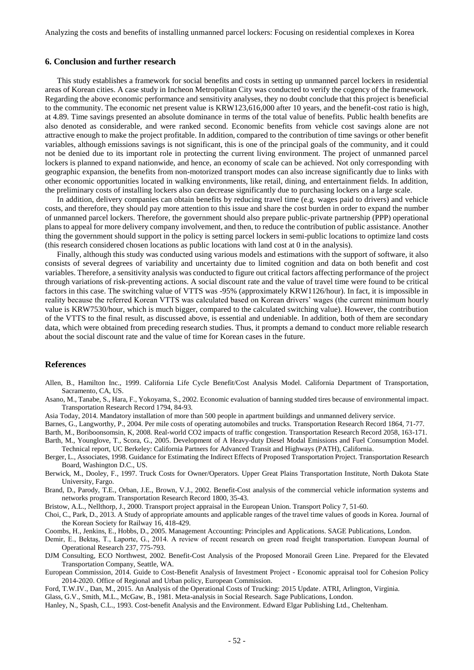Analyzing the costs and benefits of installing unmanned parcel lockers: Focusing on residential complexes in Korea

#### **6. Conclusion and further research**

This study establishes a framework for social benefits and costs in setting up unmanned parcel lockers in residential areas of Korean cities. A case study in Incheon Metropolitan City was conducted to verify the cogency of the framework. Regarding the above economic performance and sensitivity analyses, they no doubt conclude that this project is beneficial to the community. The economic net present value is KRW123,616,000 after 10 years, and the benefit-cost ratio is high, at 4.89. Time savings presented an absolute dominance in terms of the total value of benefits. Public health benefits are also denoted as considerable, and were ranked second. Economic benefits from vehicle cost savings alone are not attractive enough to make the project profitable. In addition, compared to the contribution of time savings or other benefit variables, although emissions savings is not significant, this is one of the principal goals of the community, and it could not be denied due to its important role in protecting the current living environment. The project of unmanned parcel lockers is planned to expand nationwide, and hence, an economy of scale can be achieved. Not only corresponding with geographic expansion, the benefits from non-motorized transport modes can also increase significantly due to links with other economic opportunities located in walking environments, like retail, dining, and entertainment fields. In addition, the preliminary costs of installing lockers also can decrease significantly due to purchasing lockers on a large scale.

In addition, delivery companies can obtain benefits by reducing travel time (e.g. wages paid to drivers) and vehicle costs, and therefore, they should pay more attention to this issue and share the cost burden in order to expand the number of unmanned parcel lockers. Therefore, the government should also prepare public-private partnership (PPP) operational plans to appeal for more delivery company involvement, and then, to reduce the contribution of public assistance. Another thing the government should support in the policy is setting parcel lockers in semi-public locations to optimize land costs (this research considered chosen locations as public locations with land cost at 0 in the analysis).

Finally, although this study was conducted using various models and estimations with the support of software, it also consists of several degrees of variability and uncertainty due to limited cognition and data on both benefit and cost variables. Therefore, a sensitivity analysis was conducted to figure out critical factors affecting performance of the project through variations of risk-preventing actions. A social discount rate and the value of travel time were found to be critical factors in this case. The switching value of VTTS was -95% (approximately KRW1126/hour). In fact, it is impossible in reality because the referred Korean VTTS was calculated based on Korean drivers' wages (the current minimum hourly value is KRW7530/hour, which is much bigger, compared to the calculated switching value). However, the contribution of the VTTS to the final result, as discussed above, is essential and undeniable. In addition, both of them are secondary data, which were obtained from preceding research studies. Thus, it prompts a demand to conduct more reliable research about the social discount rate and the value of time for Korean cases in the future.

# **References**

- Allen, B., Hamilton Inc., 1999. California Life Cycle Benefit/Cost Analysis Model. California Department of Transportation, Sacramento, CA, US.
- Asano, M., Tanabe, S., Hara, F., Yokoyama, S., 2002. Economic evaluation of banning studded tires because of environmental impact. Transportation Research Record 1794, 84-93.
- Asia Today, 2014. Mandatory installation of more than 500 people in apartment buildings and unmanned delivery service.
- Barnes, G., Langworthy, P., 2004. Per mile costs of operating automobiles and trucks. Transportation Research Record 1864, 71-77.
- Barth, M., Boriboonsomsin, K, 2008. Real-world CO2 impacts of traffic congestion. Transportation Research Record 2058, 163-171. Barth, M., Younglove, T., Scora, G., 2005. Development of A Heavy-duty Diesel Modal Emissions and Fuel Consumption Model.
- Technical report, UC Berkeley: California Partners for Advanced Transit and Highways (PATH), California.
- Berger, L., Associates, 1998. Guidance for Estimating the Indirect Effects of Proposed Transportation Project. Transportation Research Board, Washington D.C., US.
- Berwick, M., Dooley, F., 1997. Truck Costs for Owner/Operators. Upper Great Plains Transportation Institute, North Dakota State University, Fargo.
- Brand, D., Parody, T.E., Orban, J.E., Brown, V.J., 2002. Benefit-Cost analysis of the commercial vehicle information systems and networks program. Transportation Research Record 1800, 35-43.
- Bristow, A.L., Nellthorp, J., 2000. Transport project appraisal in the European Union. Transport Policy 7, 51-60.
- Choi, C., Park, D., 2013. A Study of appropriate amounts and applicable ranges of the travel time values of goods in Korea. Journal of the Korean Society for Railway 16, 418-429.
- Coombs, H., Jenkins, E., Hobbs, D., 2005. Management Accounting: Principles and Applications. SAGE Publications, London.
- Demir, E., Bektaş, T., Laporte, G., 2014. A review of recent research on green road freight transportation. European Journal of Operational Research 237, 775-793.
- DJM Consulting, ECO Northwest, 2002. Benefit-Cost Analysis of the Proposed Monorail Green Line. Prepared for the Elevated Transportation Company, Seattle, WA.
- European Commission, 2014. Guide to Cost-Benefit Analysis of Investment Project Economic appraisal tool for Cohesion Policy 2014-2020. Office of Regional and Urban policy, European Commission.
- Ford, T.W.IV., Dan, M., 2015. An Analysis of the Operational Costs of Trucking: 2015 Update. ATRI, Arlington, Virginia.
- Glass, G.V., Smith, M.L., McGaw, B., 1981. Meta-analysis in Social Research. Sage Publications, London.
- Hanley, N., Spash, C.L., 1993. Cost-benefit Analysis and the Environment. Edward Elgar Publishing Ltd., Cheltenham.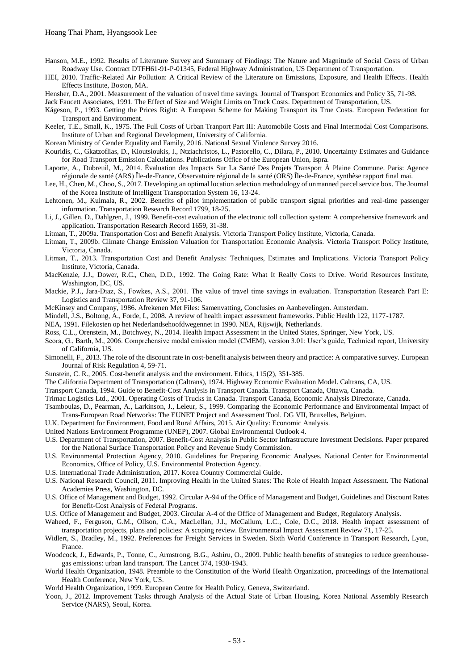- Hanson, M.E., 1992. Results of Literature Survey and Summary of Findings: The Nature and Magnitude of Social Costs of Urban Roadway Use. Contract DTFH61-91-P-01345, Federal Highway Administration, US Department of Transportation.
- HEI, 2010. Traffic-Related Air Pollution: A Critical Review of the Literature on Emissions, Exposure, and Health Effects. Health Effects Institute, Boston, MA.
- Hensher, D.A., 2001. Measurement of the valuation of travel time savings. Journal of Transport Economics and Policy 35, 71-98.

Jack Faucett Associates, 1991. The Effect of Size and Weight Limits on Truck Costs. Department of Transportation, US.

- Kågeson, P., 1993. Getting the Prices Right: A European Scheme for Making Transport its True Costs. European Federation for Transport and Environment.
- Keeler, T.E., Small, K., 1975. The Full Costs of Urban Tranport Part III: Automobile Costs and Final Intermodal Cost Comparisons. Institute of Urban and Regional Development, University of California.

Korean Ministry of Gender Equality and Family, 2016. National Sexual Violence Survey 2016.

- Kouridis, C., Gkatzoflias, D., Kioutsioukis, I., Ntziachristos, L., Pastorello, C., Dilara, P., 2010. Uncertainty Estimates and Guidance for Road Transport Emission Calculations. Publications Office of the European Union, Ispra.
- Laporte, A., Dubreuil, M., 2014. Évaluation des Impacts Sur La Santé Des Projets Transport À Plaine Commune. Paris: Agence régionale de santé (ARS) Île-de-France, Observatoire régional de la santé (ORS) Île-de-France, synthèse rapport final mai.
- Lee, H., Chen, M., Choo, S., 2017. Developing an optimal location selection methodology of unmanned parcel service box. The Journal of the Korea Institute of Intelligent Transportation System 16, 13-24.
- Lehtonen, M., Kulmala, R., 2002. Benefits of pilot implementation of public transport signal priorities and real-time passenger information. Transportation Research Record 1799, 18-25.
- Li, J., Gillen, D., Dahlgren, J., 1999. Benefit-cost evaluation of the electronic toll collection system: A comprehensive framework and application. Transportation Research Record 1659, 31-38.

Litman, T., 2009a. Transportation Cost and Benefit Analysis. Victoria Transport Policy Institute, Victoria, Canada.

- Litman, T., 2009b. Climate Change Emission Valuation for Transportation Economic Analysis. Victoria Transport Policy Institute, Victoria, Canada.
- Litman, T., 2013. Transportation Cost and Benefit Analysis: Techniques, Estimates and Implications. Victoria Transport Policy Institute, Victoria, Canada.
- MacKenzie, J.J., Dower, R.C., Chen, D.D., 1992. The Going Rate: What It Really Costs to Drive. World Resources Institute, Washington, DC, US.
- Mackie, P.J., Jara-Dıaz, S., Fowkes, A.S., 2001. The value of travel time savings in evaluation. Transportation Research Part E: Logistics and Transportation Review 37, 91-106.
- McKinsey and Company, 1986. Afrekenen Met Files: Samenvatting, Conclusies en Aanbevelingen. Amsterdam.
- Mindell, J.S., Boltong, A., Forde, I., 2008. A review of health impact assessment frameworks. Public Health 122, 1177-1787.

NEA, 1991. Filekosten op het Nederlandsehoofdwegennet in 1990. NEA, Rijswijk, Netherlands.

- Ross, C.L., Orenstein, M., Botchwey, N., 2014. Health Impact Assessment in the United States, Springer, New York, US.
- Scora, G., Barth, M., 2006. Comprehensive modal emission model (CMEM), version 3.01: User's guide, Technical report, University of California, US.
- Simonelli, F., 2013. The role of the discount rate in cost-benefit analysis between theory and practice: A comparative survey. European Journal of Risk Regulation 4, 59-71.
- Sunstein, C. R., 2005. Cost-benefit analysis and the environment. Ethics, 115(2), 351-385.
- The California Department of Transportation (Caltrans), 1974. Highway Economic Evaluation Model. Caltrans, CA, US.

Transport Canada, 1994. Guide to Benefit-Cost Analysis in Transport Canada. Transport Canada, Ottawa, Canada.

- Trimac Logistics Ltd., 2001. Operating Costs of Trucks in Canada. Transport Canada, Economic Analysis Directorate, Canada.
- Tsamboulas, D., Pearman, A., Larkinson, J., Leleur, S., 1999. Comparing the Economic Performance and Environmental Impact of Trans-European Road Networks: The EUNET Project and Assessment Tool. DG VII, Bruxelles, Belgium.
- U.K. Department for Environment, Food and Rural Affairs, 2015. Air Quality: Economic Analysis.
- United Nations Environment Programme (UNEP), 2007. Global Environmental Outlook 4.
- U.S. Department of Transportation, 2007. Benefit-Cost Analysis in Public Sector Infrastructure Investment Decisions. Paper prepared for the National Surface Transportation Policy and Revenue Study Commission.
- U.S. Environmental Protection Agency, 2010. Guidelines for Preparing Economic Analyses. National Center for Environmental Economics, Office of Policy, U.S. Environmental Protection Agency.
- U.S. International Trade Administration, 2017. Korea Country Commercial Guide.
- U.S. National Research Council, 2011. Improving Health in the United States: The Role of Health Impact Assessment. The National Academies Press, Washington, DC.
- U.S. Office of Management and Budget, 1992. Circular A-94 of the Office of Management and Budget, Guidelines and Discount Rates for Benefit-Cost Analysis of Federal Programs.
- U.S. Office of Management and Budget, 2003. Circular A-4 of the Office of Management and Budget, Regulatory Analysis.
- Waheed, F., Ferguson, G.M., Ollson, C.A., MacLellan, J.I., McCallum, L.C., Cole, D.C., 2018. Health impact assessment of transportation projects, plans and policies: A scoping review. Environmental Impact Assessment Review 71, 17-25.
- Widlert, S., Bradley, M., 1992. Preferences for Freight Services in Sweden. Sixth World Conference in Transport Research, Lyon, France.
- Woodcock, J., Edwards, P., Tonne, C., Armstrong, B.G., Ashiru, O., 2009. Public health benefits of strategies to reduce greenhousegas emissions: urban land transport. The Lancet 374, 1930-1943.
- World Health Organization, 1948. Preamble to the Constitution of the World Health Organization, proceedings of the International Health Conference, New York, US.
- World Health Organization, 1999. European Centre for Health Policy, Geneva, Switzerland.
- Yoon, J., 2012. Improvement Tasks through Analysis of the Actual State of Urban Housing. Korea National Assembly Research Service (NARS), Seoul, Korea.